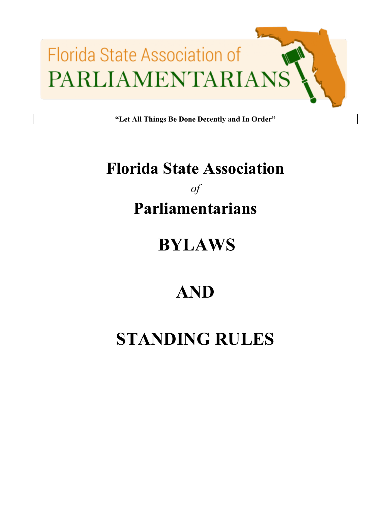

**"Let All Things Be Done Decently and In Order"**

## **Florida State Association**

## *of* **Parliamentarians**

## **BYLAWS**

## **AND**

# **STANDING RULES**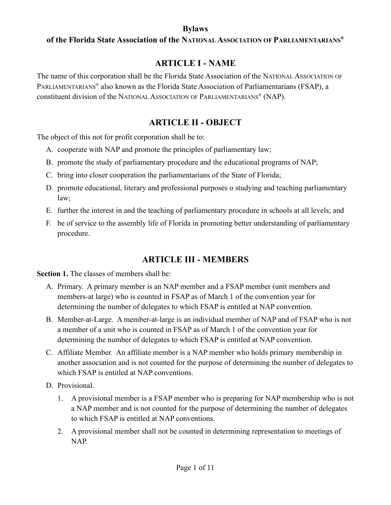#### **of the Florida State Association of the NATIONAL ASSOCIATION OF PARLIAMENTARIANS®**

#### **ARTICLE I - NAME**

The name of this corporation shall be the Florida State Association of the NATIONAL ASSOCIATION OF PARLIAMENTARIANS® also known as the Florida State Association of Parliamentarians (FSAP), a constituent division of the NATIONAL ASSOCIATION OF PARLIAMENTARIANS® (NAP).

#### **ARTICLE II - OBJECT**

The object of this not for profit corporation shall be to:

- A. cooperate with NAP and promote the principles of parliamentary law;
- B. promote the study of parliamentary procedure and the educational programs of NAP;
- C. bring into closer cooperation the parliamentarians of the State of Florida;
- D. promote educational, literary and professional purposes o studying and teaching parliamentary law;
- E. further the interest in and the teaching of parliamentary procedure in schools at all levels; and
- F. be of service to the assembly life of Florida in promoting better understanding of parliamentary procedure.

#### **ARTICLE III - MEMBERS**

**Section 1.** The classes of members shall be:

- A. Primary. A primary member is an NAP member and a FSAP member (unit members and members-at large) who is counted in FSAP as of March 1 of the convention year for determining the number of delegates to which FSAP is entitled at NAP convention.
- B. Member-at-Large. A member-at-large is an individual member of NAP and of FSAP who is not a member of a unit who is counted in FSAP as of March 1 of the convention year for determining the number of delegates to which FSAP is entitled at NAP convention.
- C. Affiliate Member. An affiliate member is a NAP member who holds primary membership in another association and is not counted for the purpose of determining the number of delegates to which FSAP is entitled at NAP conventions.
- D. Provisional.
	- 1. A provisional member is a FSAP member who is preparing for NAP membership who is not a NAP member and is not counted for the purpose of determining the number of delegates to which FSAP is entitled at NAP conventions.
	- 2. A provisional member shall not be counted in determining representation to meetings of NAP.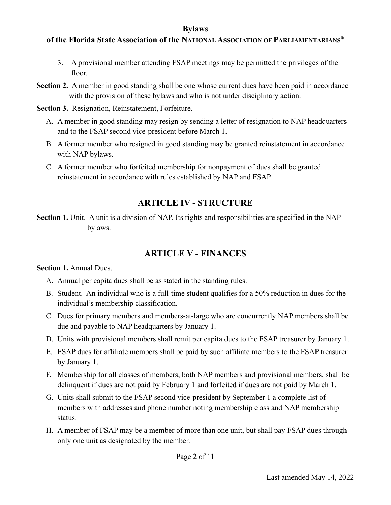#### **of the Florida State Association of the NATIONAL ASSOCIATION OF PARLIAMENTARIANS®**

- 3. A provisional member attending FSAP meetings may be permitted the privileges of the floor.
- **Section 2.** A member in good standing shall be one whose current dues have been paid in accordance with the provision of these bylaws and who is not under disciplinary action.
- **Section 3.** Resignation, Reinstatement, Forfeiture.
	- A. A member in good standing may resign by sending a letter of resignation to NAP headquarters and to the FSAP second vice-president before March 1.
	- B. A former member who resigned in good standing may be granted reinstatement in accordance with NAP bylaws.
	- C. A former member who forfeited membership for nonpayment of dues shall be granted reinstatement in accordance with rules established by NAP and FSAP.

#### **ARTICLE IV - STRUCTURE**

**Section 1.** Unit. A unit is a division of NAP. Its rights and responsibilities are specified in the NAP bylaws.

#### **ARTICLE V - FINANCES**

**Section 1.** Annual Dues.

- A. Annual per capita dues shall be as stated in the standing rules.
- B. Student. An individual who is a full-time student qualifies for a 50% reduction in dues for the individual's membership classification.
- C. Dues for primary members and members-at-large who are concurrently NAP members shall be due and payable to NAP headquarters by January 1.
- D. Units with provisional members shall remit per capita dues to the FSAP treasurer by January 1.
- E. FSAP dues for affiliate members shall be paid by such affiliate members to the FSAP treasurer by January 1.
- F. Membership for all classes of members, both NAP members and provisional members, shall be delinquent if dues are not paid by February 1 and forfeited if dues are not paid by March 1.
- G. Units shall submit to the FSAP second vice-president by September 1 a complete list of members with addresses and phone number noting membership class and NAP membership status.
- H. A member of FSAP may be a member of more than one unit, but shall pay FSAP dues through only one unit as designated by the member.

Page 2 of 11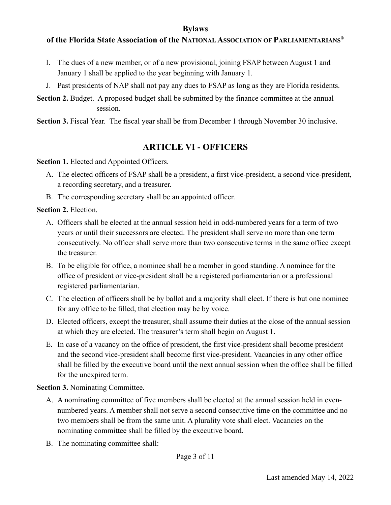#### **of the Florida State Association of the NATIONAL ASSOCIATION OF PARLIAMENTARIANS®**

- I. The dues of a new member, or of a new provisional, joining FSAP between August 1 and January 1 shall be applied to the year beginning with January 1.
- J. Past presidents of NAP shall not pay any dues to FSAP as long as they are Florida residents.

**Section 2.** Budget. A proposed budget shall be submitted by the finance committee at the annual session.

**Section 3.** Fiscal Year. The fiscal year shall be from December 1 through November 30 inclusive.

#### **ARTICLE VI - OFFICERS**

**Section 1.** Elected and Appointed Officers.

- A. The elected officers of FSAP shall be a president, a first vice-president, a second vice-president, a recording secretary, and a treasurer.
- B. The corresponding secretary shall be an appointed officer.

**Section 2.** Election.

- A. Officers shall be elected at the annual session held in odd-numbered years for a term of two years or until their successors are elected. The president shall serve no more than one term consecutively. No officer shall serve more than two consecutive terms in the same office except the treasurer.
- B. To be eligible for office, a nominee shall be a member in good standing. A nominee for the office of president or vice-president shall be a registered parliamentarian or a professional registered parliamentarian.
- C. The election of officers shall be by ballot and a majority shall elect. If there is but one nominee for any office to be filled, that election may be by voice.
- D. Elected officers, except the treasurer, shall assume their duties at the close of the annual session at which they are elected. The treasurer's term shall begin on August 1.
- E. In case of a vacancy on the office of president, the first vice-president shall become president and the second vice-president shall become first vice-president. Vacancies in any other office shall be filled by the executive board until the next annual session when the office shall be filled for the unexpired term.

#### **Section 3.** Nominating Committee.

- A. A nominating committee of five members shall be elected at the annual session held in evennumbered years. A member shall not serve a second consecutive time on the committee and no two members shall be from the same unit. A plurality vote shall elect. Vacancies on the nominating committee shall be filled by the executive board.
- B. The nominating committee shall: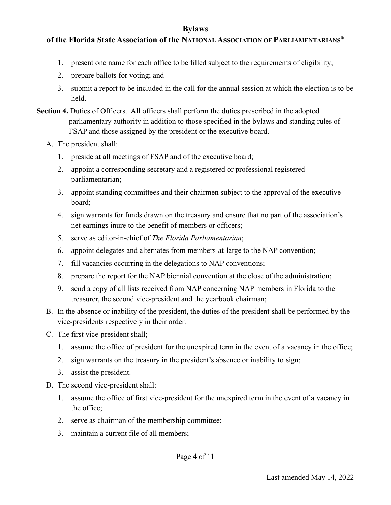#### **of the Florida State Association of the NATIONAL ASSOCIATION OF PARLIAMENTARIANS®**

- 1. present one name for each office to be filled subject to the requirements of eligibility;
- 2. prepare ballots for voting; and
- 3. submit a report to be included in the call for the annual session at which the election is to be held.
- Section 4. Duties of Officers. All officers shall perform the duties prescribed in the adopted parliamentary authority in addition to those specified in the bylaws and standing rules of FSAP and those assigned by the president or the executive board.
	- A. The president shall:
		- 1. preside at all meetings of FSAP and of the executive board;
		- 2. appoint a corresponding secretary and a registered or professional registered parliamentarian;
		- 3. appoint standing committees and their chairmen subject to the approval of the executive board;
		- 4. sign warrants for funds drawn on the treasury and ensure that no part of the association's net earnings inure to the benefit of members or officers;
		- 5. serve as editor-in-chief of *The Florida Parliamentarian*;
		- 6. appoint delegates and alternates from members-at-large to the NAP convention;
		- 7. fill vacancies occurring in the delegations to NAP conventions;
		- 8. prepare the report for the NAP biennial convention at the close of the administration;
		- 9. send a copy of all lists received from NAP concerning NAP members in Florida to the treasurer, the second vice-president and the yearbook chairman;
	- B. In the absence or inability of the president, the duties of the president shall be performed by the vice-presidents respectively in their order.
	- C. The first vice-president shall;
		- 1. assume the office of president for the unexpired term in the event of a vacancy in the office;
		- 2. sign warrants on the treasury in the president's absence or inability to sign;
		- 3. assist the president.
	- D. The second vice-president shall:
		- 1. assume the office of first vice-president for the unexpired term in the event of a vacancy in the office;
		- 2. serve as chairman of the membership committee;
		- 3. maintain a current file of all members;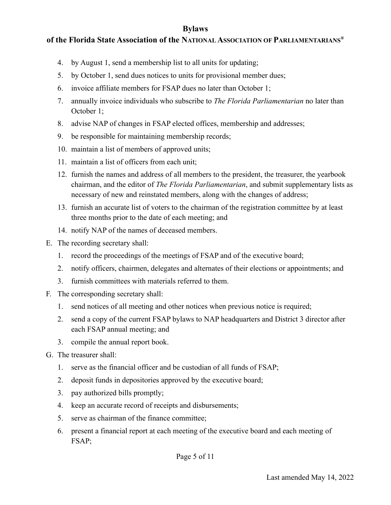#### **of the Florida State Association of the NATIONAL ASSOCIATION OF PARLIAMENTARIANS®**

- 4. by August 1, send a membership list to all units for updating;
- 5. by October 1, send dues notices to units for provisional member dues;
- 6. invoice affiliate members for FSAP dues no later than October 1;
- 7. annually invoice individuals who subscribe to *The Florida Parliamentarian* no later than October 1;
- 8. advise NAP of changes in FSAP elected offices, membership and addresses;
- 9. be responsible for maintaining membership records;
- 10. maintain a list of members of approved units;
- 11. maintain a list of officers from each unit;
- 12. furnish the names and address of all members to the president, the treasurer, the yearbook chairman, and the editor of *The Florida Parliamentarian*, and submit supplementary lists as necessary of new and reinstated members, along with the changes of address;
- 13. furnish an accurate list of voters to the chairman of the registration committee by at least three months prior to the date of each meeting; and
- 14. notify NAP of the names of deceased members.
- E. The recording secretary shall:
	- 1. record the proceedings of the meetings of FSAP and of the executive board;
	- 2. notify officers, chairmen, delegates and alternates of their elections or appointments; and
	- 3. furnish committees with materials referred to them.
- F. The corresponding secretary shall:
	- 1. send notices of all meeting and other notices when previous notice is required;
	- 2. send a copy of the current FSAP bylaws to NAP headquarters and District 3 director after each FSAP annual meeting; and
	- 3. compile the annual report book.
- G. The treasurer shall:
	- 1. serve as the financial officer and be custodian of all funds of FSAP;
	- 2. deposit funds in depositories approved by the executive board;
	- 3. pay authorized bills promptly;
	- 4. keep an accurate record of receipts and disbursements;
	- 5. serve as chairman of the finance committee;
	- 6. present a financial report at each meeting of the executive board and each meeting of FSAP;

Page 5 of 11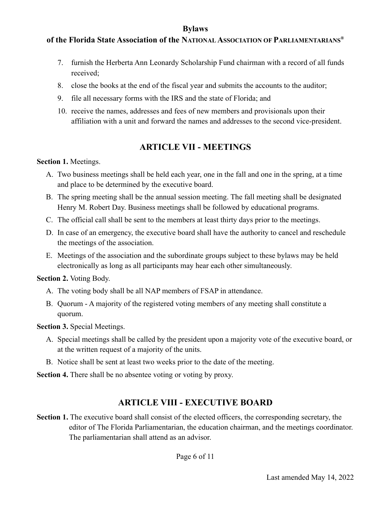#### **of the Florida State Association of the NATIONAL ASSOCIATION OF PARLIAMENTARIANS®**

- 7. furnish the Herberta Ann Leonardy Scholarship Fund chairman with a record of all funds received;
- 8. close the books at the end of the fiscal year and submits the accounts to the auditor;
- 9. file all necessary forms with the IRS and the state of Florida; and
- 10. receive the names, addresses and fees of new members and provisionals upon their affiliation with a unit and forward the names and addresses to the second vice-president.

#### **ARTICLE VII - MEETINGS**

#### **Section 1.** Meetings.

- A. Two business meetings shall be held each year, one in the fall and one in the spring, at a time and place to be determined by the executive board.
- B. The spring meeting shall be the annual session meeting. The fall meeting shall be designated Henry M. Robert Day. Business meetings shall be followed by educational programs.
- C. The official call shall be sent to the members at least thirty days prior to the meetings.
- D. In case of an emergency, the executive board shall have the authority to cancel and reschedule the meetings of the association.
- E. Meetings of the association and the subordinate groups subject to these bylaws may be held electronically as long as all participants may hear each other simultaneously.

#### **Section 2.** Voting Body.

- A. The voting body shall be all NAP members of FSAP in attendance.
- B. Quorum A majority of the registered voting members of any meeting shall constitute a quorum.

**Section 3.** Special Meetings.

- A. Special meetings shall be called by the president upon a majority vote of the executive board, or at the written request of a majority of the units.
- B. Notice shall be sent at least two weeks prior to the date of the meeting.

**Section 4.** There shall be no absentee voting or voting by proxy.

#### **ARTICLE VIII - EXECUTIVE BOARD**

**Section 1.** The executive board shall consist of the elected officers, the corresponding secretary, the editor of The Florida Parliamentarian, the education chairman, and the meetings coordinator. The parliamentarian shall attend as an advisor.

Page 6 of 11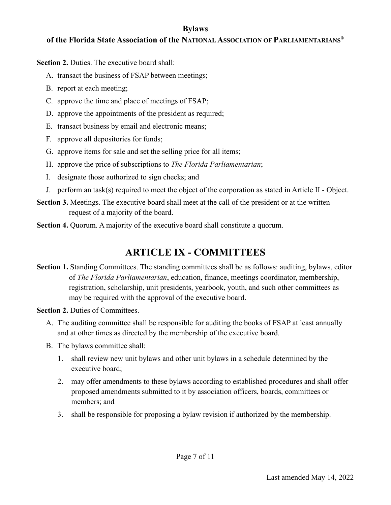#### **of the Florida State Association of the NATIONAL ASSOCIATION OF PARLIAMENTARIANS®**

**Section 2.** Duties. The executive board shall:

- A. transact the business of FSAP between meetings;
- B. report at each meeting;
- C. approve the time and place of meetings of FSAP;
- D. approve the appointments of the president as required;
- E. transact business by email and electronic means;
- F. approve all depositories for funds;
- G. approve items for sale and set the selling price for all items;
- H. approve the price of subscriptions to *The Florida Parliamentarian*;
- I. designate those authorized to sign checks; and
- J. perform an task(s) required to meet the object of the corporation as stated in Article II Object.
- **Section 3.** Meetings. The executive board shall meet at the call of the president or at the written request of a majority of the board.
- **Section 4.** Ouorum. A majority of the executive board shall constitute a quorum.

### **ARTICLE IX - COMMITTEES**

**Section 1.** Standing Committees. The standing committees shall be as follows: auditing, bylaws, editor of *The Florida Parliamentarian*, education, finance, meetings coordinator, membership, registration, scholarship, unit presidents, yearbook, youth, and such other committees as may be required with the approval of the executive board.

**Section 2. Duties of Committees.** 

- A. The auditing committee shall be responsible for auditing the books of FSAP at least annually and at other times as directed by the membership of the executive board.
- B. The bylaws committee shall:
	- 1. shall review new unit bylaws and other unit bylaws in a schedule determined by the executive board;
	- 2. may offer amendments to these bylaws according to established procedures and shall offer proposed amendments submitted to it by association officers, boards, committees or members; and
	- 3. shall be responsible for proposing a bylaw revision if authorized by the membership.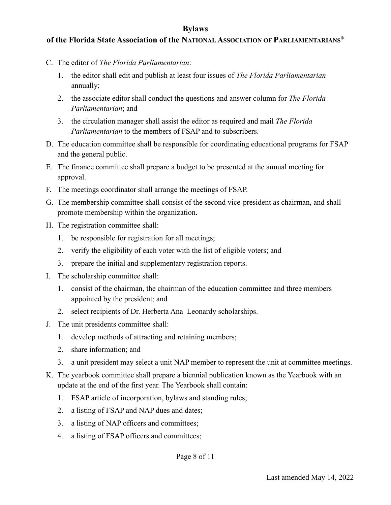#### **of the Florida State Association of the NATIONAL ASSOCIATION OF PARLIAMENTARIANS®**

- C. The editor of *The Florida Parliamentarian*:
	- 1. the editor shall edit and publish at least four issues of *The Florida Parliamentarian* annually;
	- 2. the associate editor shall conduct the questions and answer column for *The Florida Parliamentarian*; and
	- 3. the circulation manager shall assist the editor as required and mail *The Florida Parliamentarian* to the members of FSAP and to subscribers.
- D. The education committee shall be responsible for coordinating educational programs for FSAP and the general public.
- E. The finance committee shall prepare a budget to be presented at the annual meeting for approval.
- F. The meetings coordinator shall arrange the meetings of FSAP.
- G. The membership committee shall consist of the second vice-president as chairman, and shall promote membership within the organization.
- H. The registration committee shall:
	- 1. be responsible for registration for all meetings;
	- 2. verify the eligibility of each voter with the list of eligible voters; and
	- 3. prepare the initial and supplementary registration reports.
- I. The scholarship committee shall:
	- 1. consist of the chairman, the chairman of the education committee and three members appointed by the president; and
	- 2. select recipients of Dr. Herberta Ana Leonardy scholarships.
- J. The unit presidents committee shall:
	- 1. develop methods of attracting and retaining members;
	- 2. share information; and
	- 3. a unit president may select a unit NAP member to represent the unit at committee meetings.
- K. The yearbook committee shall prepare a biennial publication known as the Yearbook with an update at the end of the first year. The Yearbook shall contain:
	- 1. FSAP article of incorporation, bylaws and standing rules;
	- 2. a listing of FSAP and NAP dues and dates;
	- 3. a listing of NAP officers and committees;
	- 4. a listing of FSAP officers and committees;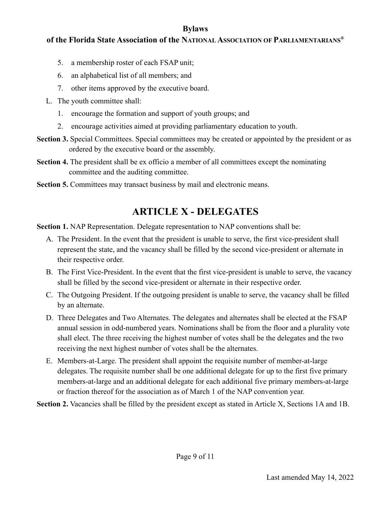#### **of the Florida State Association of the NATIONAL ASSOCIATION OF PARLIAMENTARIANS®**

- 5. a membership roster of each FSAP unit;
- 6. an alphabetical list of all members; and
- 7. other items approved by the executive board.
- L. The youth committee shall:
	- 1. encourage the formation and support of youth groups; and
	- 2. encourage activities aimed at providing parliamentary education to youth.
- **Section 3.** Special Committees. Special committees may be created or appointed by the president or as ordered by the executive board or the assembly.
- **Section 4.** The president shall be ex officio a member of all committees except the nominating committee and the auditing committee.
- **Section 5.** Committees may transact business by mail and electronic means.

## **ARTICLE X - DELEGATES**

**Section 1.** NAP Representation. Delegate representation to NAP conventions shall be:

- A. The President. In the event that the president is unable to serve, the first vice-president shall represent the state, and the vacancy shall be filled by the second vice-president or alternate in their respective order.
- B. The First Vice-President. In the event that the first vice-president is unable to serve, the vacancy shall be filled by the second vice-president or alternate in their respective order.
- C. The Outgoing President. If the outgoing president is unable to serve, the vacancy shall be filled by an alternate.
- D. Three Delegates and Two Alternates. The delegates and alternates shall be elected at the FSAP annual session in odd-numbered years. Nominations shall be from the floor and a plurality vote shall elect. The three receiving the highest number of votes shall be the delegates and the two receiving the next highest number of votes shall be the alternates.
- E. Members-at-Large. The president shall appoint the requisite number of member-at-large delegates. The requisite number shall be one additional delegate for up to the first five primary members-at-large and an additional delegate for each additional five primary members-at-large or fraction thereof for the association as of March 1 of the NAP convention year.

**Section 2.** Vacancies shall be filled by the president except as stated in Article X, Sections 1A and 1B.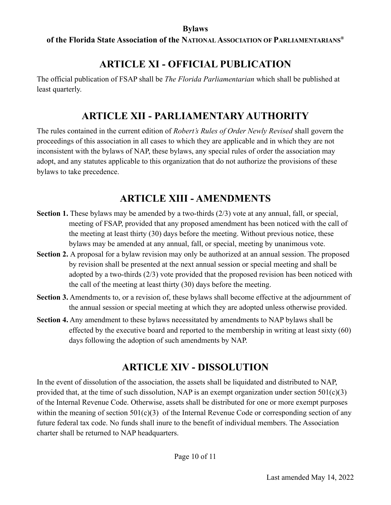#### **of the Florida State Association of the NATIONAL ASSOCIATION OF PARLIAMENTARIANS®**

### **ARTICLE XI - OFFICIAL PUBLICATION**

The official publication of FSAP shall be *The Florida Parliamentarian* which shall be published at least quarterly.

### **ARTICLE XII - PARLIAMENTARY AUTHORITY**

The rules contained in the current edition of *Robert's Rules of Order Newly Revised* shall govern the proceedings of this association in all cases to which they are applicable and in which they are not inconsistent with the bylaws of NAP, these bylaws, any special rules of order the association may adopt, and any statutes applicable to this organization that do not authorize the provisions of these bylaws to take precedence.

### **ARTICLE XIII - AMENDMENTS**

- **Section 1.** These bylaws may be amended by a two-thirds (2/3) vote at any annual, fall, or special, meeting of FSAP, provided that any proposed amendment has been noticed with the call of the meeting at least thirty (30) days before the meeting. Without previous notice, these bylaws may be amended at any annual, fall, or special, meeting by unanimous vote.
- **Section 2.** A proposal for a bylaw revision may only be authorized at an annual session. The proposed by revision shall be presented at the next annual session or special meeting and shall be adopted by a two-thirds (2/3) vote provided that the proposed revision has been noticed with the call of the meeting at least thirty (30) days before the meeting.
- **Section 3.** Amendments to, or a revision of, these bylaws shall become effective at the adjournment of the annual session or special meeting at which they are adopted unless otherwise provided.
- **Section 4.** Any amendment to these bylaws necessitated by amendments to NAP bylaws shall be effected by the executive board and reported to the membership in writing at least sixty (60) days following the adoption of such amendments by NAP.

## **ARTICLE XIV - DISSOLUTION**

In the event of dissolution of the association, the assets shall be liquidated and distributed to NAP, provided that, at the time of such dissolution, NAP is an exempt organization under section  $501(c)(3)$ of the Internal Revenue Code. Otherwise, assets shall be distributed for one or more exempt purposes within the meaning of section  $501(c)(3)$  of the Internal Revenue Code or corresponding section of any future federal tax code. No funds shall inure to the benefit of individual members. The Association charter shall be returned to NAP headquarters.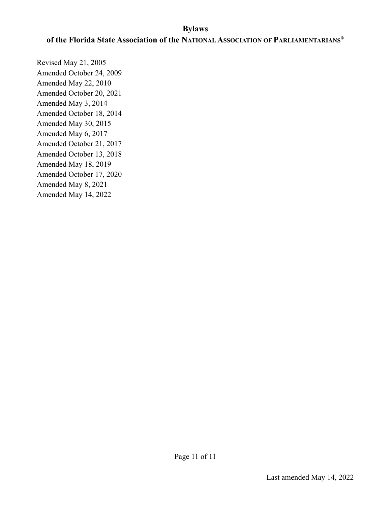#### **of the Florida State Association of the NATIONAL ASSOCIATION OF PARLIAMENTARIANS®**

Revised May 21, 2005 Amended October 24, 2009 Amended May 22, 2010 Amended October 20, 2021 Amended May 3, 2014 Amended October 18, 2014 Amended May 30, 2015 Amended May 6, 2017 Amended October 21, 2017 Amended October 13, 2018 Amended May 18, 2019 Amended October 17, 2020 Amended May 8, 2021 Amended May 14, 2022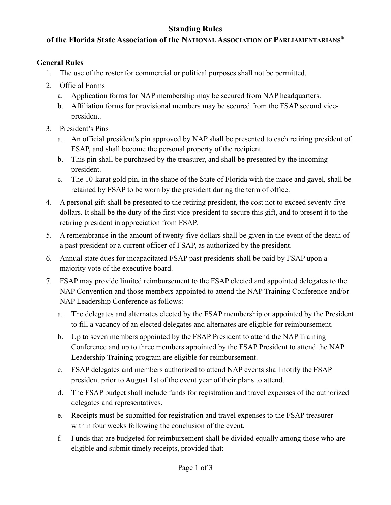#### **Standing Rules**

#### **of the Florida State Association of the NATIONAL ASSOCIATION OF PARLIAMENTARIANS®**

#### **General Rules**

- 1. The use of the roster for commercial or political purposes shall not be permitted.
- 2. Official Forms
	- a. Application forms for NAP membership may be secured from NAP headquarters.
	- b. Affiliation forms for provisional members may be secured from the FSAP second vicepresident.
- 3. President's Pins
	- a. An official president's pin approved by NAP shall be presented to each retiring president of FSAP, and shall become the personal property of the recipient.
	- b. This pin shall be purchased by the treasurer, and shall be presented by the incoming president.
	- c. The 10-karat gold pin, in the shape of the State of Florida with the mace and gavel, shall be retained by FSAP to be worn by the president during the term of office.
- 4. A personal gift shall be presented to the retiring president, the cost not to exceed seventy-five dollars. It shall be the duty of the first vice-president to secure this gift, and to present it to the retiring president in appreciation from FSAP.
- 5. A remembrance in the amount of twenty-five dollars shall be given in the event of the death of a past president or a current officer of FSAP, as authorized by the president.
- 6. Annual state dues for incapacitated FSAP past presidents shall be paid by FSAP upon a majority vote of the executive board.
- 7. FSAP may provide limited reimbursement to the FSAP elected and appointed delegates to the NAP Convention and those members appointed to attend the NAP Training Conference and/or NAP Leadership Conference as follows:
	- a. The delegates and alternates elected by the FSAP membership or appointed by the President to fill a vacancy of an elected delegates and alternates are eligible for reimbursement.
	- b. Up to seven members appointed by the FSAP President to attend the NAP Training Conference and up to three members appointed by the FSAP President to attend the NAP Leadership Training program are eligible for reimbursement.
	- c. FSAP delegates and members authorized to attend NAP events shall notify the FSAP president prior to August 1st of the event year of their plans to attend.
	- d. The FSAP budget shall include funds for registration and travel expenses of the authorized delegates and representatives.
	- e. Receipts must be submitted for registration and travel expenses to the FSAP treasurer within four weeks following the conclusion of the event.
	- f. Funds that are budgeted for reimbursement shall be divided equally among those who are eligible and submit timely receipts, provided that: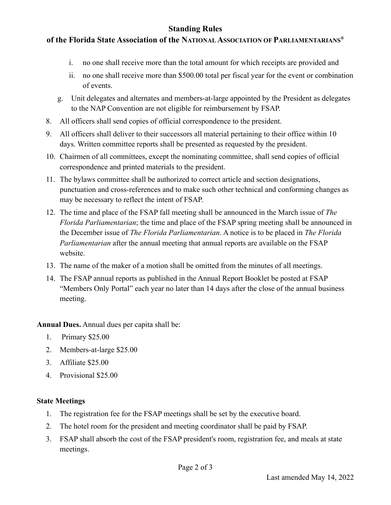#### **Standing Rules**

#### **of the Florida State Association of the NATIONAL ASSOCIATION OF PARLIAMENTARIANS®**

- i. no one shall receive more than the total amount for which receipts are provided and
- ii. no one shall receive more than \$500.00 total per fiscal year for the event or combination of events.
- g. Unit delegates and alternates and members-at-large appointed by the President as delegates to the NAP Convention are not eligible for reimbursement by FSAP.
- 8. All officers shall send copies of official correspondence to the president.
- 9. All officers shall deliver to their successors all material pertaining to their office within 10 days. Written committee reports shall be presented as requested by the president.
- 10. Chairmen of all committees, except the nominating committee, shall send copies of official correspondence and printed materials to the president.
- 11. The bylaws committee shall be authorized to correct article and section designations, punctuation and cross-references and to make such other technical and conforming changes as may be necessary to reflect the intent of FSAP.
- 12. The time and place of the FSAP fall meeting shall be announced in the March issue of *The Florida Parliamentarian*; the time and place of the FSAP spring meeting shall be announced in the December issue of *The Florida Parliamentarian*. A notice is to be placed in *The Florida Parliamentarian* after the annual meeting that annual reports are available on the FSAP website.
- 13. The name of the maker of a motion shall be omitted from the minutes of all meetings.
- 14. The FSAP annual reports as published in the Annual Report Booklet be posted at FSAP "Members Only Portal" each year no later than 14 days after the close of the annual business meeting.

**Annual Dues.** Annual dues per capita shall be:

- 1. Primary \$25.00
- 2. Members-at-large \$25.00
- 3. Affiliate \$25.00
- 4. Provisional \$25.00

#### **State Meetings**

- 1. The registration fee for the FSAP meetings shall be set by the executive board.
- 2. The hotel room for the president and meeting coordinator shall be paid by FSAP.
- 3. FSAP shall absorb the cost of the FSAP president's room, registration fee, and meals at state meetings.